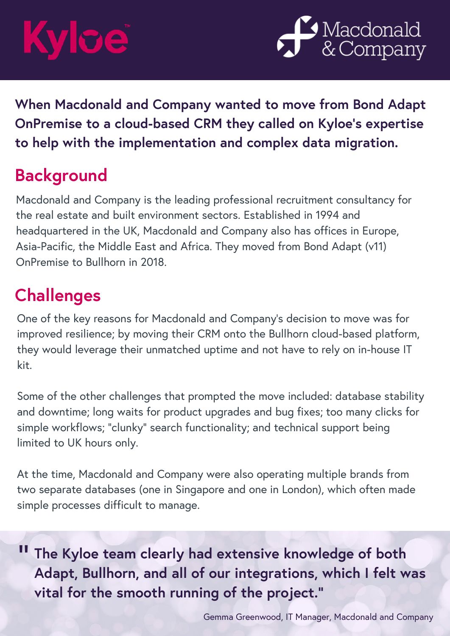# ICE



**When Macdonald and Company wanted to move from Bond Adapt OnPremise to a cloud-based CRM they called on Kyloe's expertise to help with the implementation and complex data migration.**

### **Background**

Macdonald and Company is the leading professional recruitment consultancy for the real estate and built environment sectors. Established in 1994 and headquartered in the UK, Macdonald and Company also has offices in Europe, Asia-Pacific, the Middle East and Africa. They moved from Bond Adapt (v11) OnPremise to Bullhorn in 2018.

### **Challenges**

One of the key reasons for Macdonald and Company's decision to move was for improved resilience; by moving their CRM onto the Bullhorn cloud-based platform, they would leverage their unmatched uptime and not have to rely on in-house IT kit.

Some of the other challenges that prompted the move included: database stability and downtime; long waits for product upgrades and bug fixes; too many clicks for simple workflows; "clunky" search functionality; and technical support being limited to UK hours only.

At the time, Macdonald and Company were also operating multiple brands from two separate databases (one in Singapore and one in London), which often made simple processes difficult to manage.

" **The Kyloe team clearly had extensive knowledge of both Adapt, Bullhorn, and all of our integrations, which I felt was vital for the smooth running of the project."**

Gemma Greenwood, IT Manager, Macdonald and Company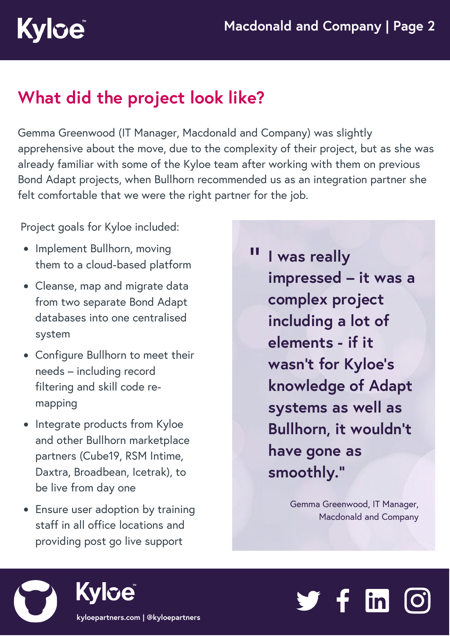### **What did the project look like?**

Gemma Greenwood (IT Manager, Macdonald and Company) was slightly apprehensive about the move, due to the complexity of their project, but as she was already familiar with some of the Kyloe team after working with them on previous Bond Adapt projects, when Bullhorn recommended us as an integration partner she felt comfortable that we were the right partner for the job.

Project goals for Kyloe included:

**Kylce** 

- Implement Bullhorn, moving them to a cloud-based platform
- Cleanse, map and migrate data from two separate Bond Adapt databases into one centralised system
- Configure Bullhorn to meet their needs – including record filtering and skill code remapping
- Integrate products from Kyloe and other Bullhorn marketplace partners (Cube19, RSM Intime, Daxtra, Broadbean, Icetrak), to be live from day one
- Ensure user adoption by training staff in all office locations and providing post go live support

" **I was really impressed – it was a complex project including a lot of elements - if it wasn't for Kyloe's knowledge of Adapt systems as well as Bullhorn, it wouldn't have gone as smoothly."**

> Gemma Greenwood, IT Manager, Macdonald and Company



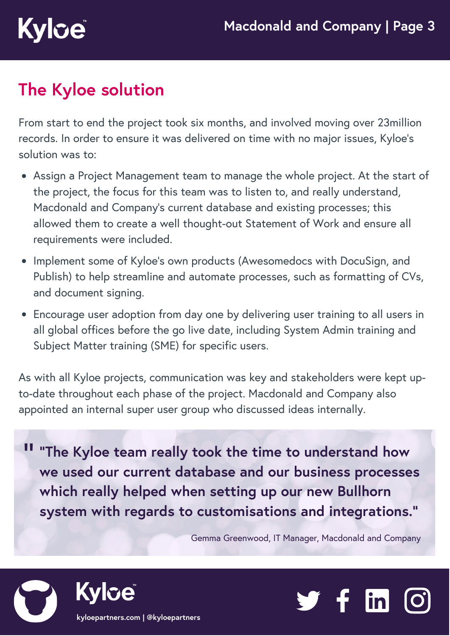# **Kyloe**

### **The Kyloe solution**

From start to end the project took six months, and involved moving over 23million records. In order to ensure it was delivered on time with no major issues, Kyloe's solution was to:

- Assign a Project Management team to manage the whole project. At the start of the project, the focus for this team was to listen to, and really understand, Macdonald and Company's current database and existing processes; this allowed them to create a well thought-out Statement of Work and ensure all requirements were included.
- Implement some of Kyloe's own products (Awesomedocs with DocuSign, and Publish) to help streamline and automate processes, such as formatting of CVs, and document signing.
- Encourage user adoption from day one by delivering user training to all users in all global offices before the go live date, including System Admin training and Subject Matter training (SME) for specific users.

As with all Kyloe projects, communication was key and stakeholders were kept upto-date throughout each phase of the project. Macdonald and Company also appointed an internal super user group who discussed ideas internally.

" **"The Kyloe team really took the time to understand how we used our current database and our business processes which really helped when setting up our new Bullhorn system with regards to customisations and integrations."**

Gemma Greenwood, IT Manager, Macdonald and Company